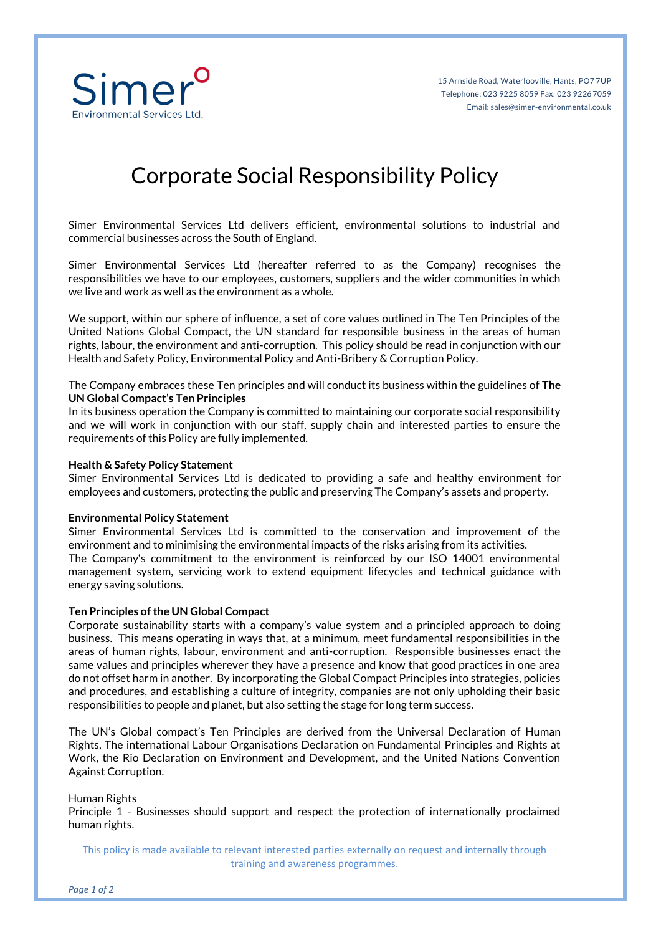

# Corporate Social Responsibility Policy

Simer Environmental Services Ltd delivers efficient, environmental solutions to industrial and commercial businesses across the South of England.

Simer Environmental Services Ltd (hereafter referred to as the Company) recognises the responsibilities we have to our employees, customers, suppliers and the wider communities in which we live and work as well as the environment as a whole.

We support, within our sphere of influence, a set of core values outlined in The Ten Principles of the United Nations Global Compact, the UN standard for responsible business in the areas of human rights, labour, the environment and anti-corruption. This policy should be read in conjunction with our Health and Safety Policy, Environmental Policy and Anti-Bribery & Corruption Policy.

The Company embraces these Ten principles and will conduct its business within the guidelines of **The UN Global Compact's Ten Principles**

In its business operation the Company is committed to maintaining our corporate social responsibility and we will work in conjunction with our staff, supply chain and interested parties to ensure the requirements of this Policy are fully implemented.

### **Health & Safety Policy Statement**

Simer Environmental Services Ltd is dedicated to providing a safe and healthy environment for employees and customers, protecting the public and preserving The Company's assets and property.

#### **Environmental Policy Statement**

Simer Environmental Services Ltd is committed to the conservation and improvement of the environment and to minimising the environmental impacts of the risks arising from its activities. The Company's commitment to the environment is reinforced by our ISO 14001 environmental management system, servicing work to extend equipment lifecycles and technical guidance with energy saving solutions.

#### **Ten Principles of the UN Global Compact**

Corporate sustainability starts with a company's value system and a principled approach to doing business. This means operating in ways that, at a minimum, meet fundamental responsibilities in the areas of human rights, labour, environment and anti-corruption. Responsible businesses enact the same values and principles wherever they have a presence and know that good practices in one area do not offset harm in another. By incorporating the Global Compact Principles into strategies, policies and procedures, and establishing a culture of integrity, companies are not only upholding their basic responsibilities to people and planet, but also setting the stage for long term success.

The UN's Global compact's Ten Principles are derived from the Universal Declaration of Human Rights, The international Labour Organisations Declaration on Fundamental Principles and Rights at Work, the Rio Declaration on Environment and Development, and the United Nations Convention Against Corruption.

#### Human Rights

Principle 1 - Businesses should support and respect the protection of internationally proclaimed human rights.

This policy is made available to relevant interested parties externally on request and internally through training and awareness programmes.